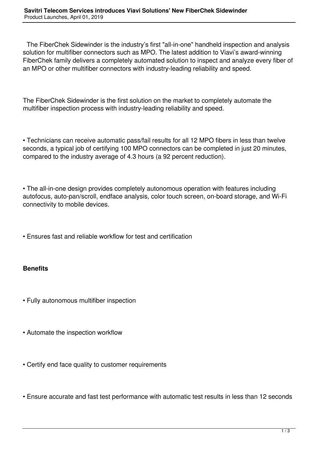The FiberChek Sidewinder is the industry's first "all-in-one" handheld inspection and analysis solution for multifiber connectors such as MPO. The latest addition to Viavi's award-winning FiberChek family delivers a completely automated solution to inspect and analyze every fiber of an MPO or other multifiber connectors with industry-leading reliability and speed.

The FiberChek Sidewinder is the first solution on the market to completely automate the multifiber inspection process with industry-leading reliability and speed.

• Technicians can receive automatic pass/fail results for all 12 MPO fibers in less than twelve seconds, a typical job of certifying 100 MPO connectors can be completed in just 20 minutes, compared to the industry average of 4.3 hours (a 92 percent reduction).

• The all-in-one design provides completely autonomous operation with features including autofocus, auto-pan/scroll, endface analysis, color touch screen, on-board storage, and Wi-Fi connectivity to mobile devices.

• Ensures fast and reliable workflow for test and certification

## **Benefits**

- Fully autonomous multifiber inspection
- Automate the inspection workflow
- Certify end face quality to customer requirements
- Ensure accurate and fast test performance with automatic test results in less than 12 seconds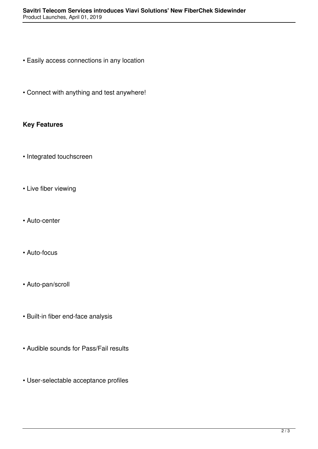- Easily access connections in any location
- Connect with anything and test anywhere!

## **Key Features**

- Integrated touchscreen
- Live fiber viewing
- Auto-center
- Auto-focus
- Auto-pan/scroll
- Built-in fiber end-face analysis
- Audible sounds for Pass/Fail results
- User-selectable acceptance profiles